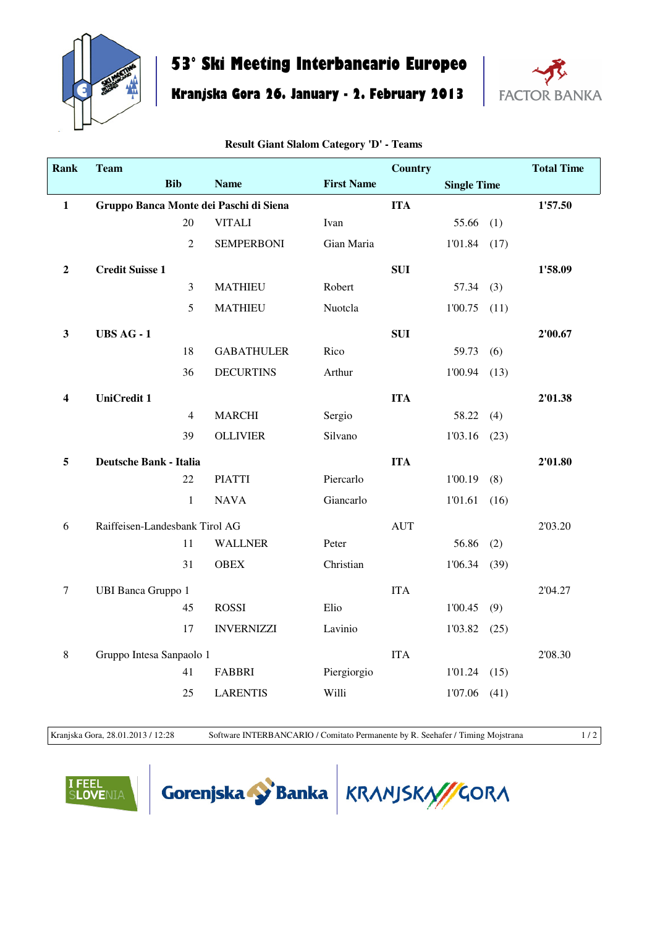

## **53° Ski Meeting Interbancario Europeo**

**Kranjska Gora 26. January - 2. February 2013**



| <b>Rank</b>      | <b>Team</b>                            |                |                   |                   | <b>Country</b> |                    |      | <b>Total Time</b> |
|------------------|----------------------------------------|----------------|-------------------|-------------------|----------------|--------------------|------|-------------------|
|                  | <b>Bib</b>                             |                | <b>Name</b>       | <b>First Name</b> |                | <b>Single Time</b> |      |                   |
| $\mathbf{1}$     | Gruppo Banca Monte dei Paschi di Siena |                |                   |                   | <b>ITA</b>     |                    |      | 1'57.50           |
|                  |                                        | 20             | <b>VITALI</b>     | Ivan              |                | 55.66              | (1)  |                   |
|                  |                                        | $\overline{2}$ | <b>SEMPERBONI</b> | Gian Maria        |                | 1'01.84            | (17) |                   |
| $\boldsymbol{2}$ | <b>Credit Suisse 1</b>                 |                |                   |                   | <b>SUI</b>     |                    |      | 1'58.09           |
|                  |                                        | $\mathfrak{Z}$ | <b>MATHIEU</b>    | Robert            |                | 57.34              | (3)  |                   |
|                  |                                        | 5              | <b>MATHIEU</b>    | Nuotcla           |                | 1'00.75            | (11) |                   |
| $\mathbf{3}$     | <b>UBS AG - 1</b>                      |                |                   |                   | <b>SUI</b>     |                    |      | 2'00.67           |
|                  |                                        | 18             | <b>GABATHULER</b> | Rico              |                | 59.73              | (6)  |                   |
|                  |                                        | 36             | <b>DECURTINS</b>  | Arthur            |                | 1'00.94            | (13) |                   |
| 4                | <b>UniCredit 1</b>                     |                |                   |                   | <b>ITA</b>     |                    |      | 2'01.38           |
|                  |                                        | $\overline{4}$ | <b>MARCHI</b>     | Sergio            |                | 58.22              | (4)  |                   |
|                  |                                        | 39             | <b>OLLIVIER</b>   | Silvano           |                | 1'03.16            | (23) |                   |
| 5                | <b>Deutsche Bank - Italia</b>          |                |                   |                   | <b>ITA</b>     |                    |      | 2'01.80           |
|                  |                                        | 22             | <b>PIATTI</b>     | Piercarlo         |                | 1'00.19            | (8)  |                   |
|                  |                                        | $\mathbf{1}$   | <b>NAVA</b>       | Giancarlo         |                | 1'01.61            | (16) |                   |
| 6                | Raiffeisen-Landesbank Tirol AG         |                |                   |                   | <b>AUT</b>     |                    |      | 2'03.20           |
|                  |                                        | 11             | <b>WALLNER</b>    | Peter             |                | 56.86              | (2)  |                   |
|                  |                                        | 31             | <b>OBEX</b>       | Christian         |                | 1'06.34            | (39) |                   |
| $\tau$           | <b>UBI Banca Gruppo 1</b>              |                |                   |                   | <b>ITA</b>     |                    |      | 2'04.27           |
|                  |                                        | 45             | <b>ROSSI</b>      | Elio              |                | 1'00.45            | (9)  |                   |
|                  |                                        | 17             | <b>INVERNIZZI</b> | Lavinio           |                | 1'03.82            | (25) |                   |
| 8                | Gruppo Intesa Sanpaolo 1               |                |                   |                   | <b>ITA</b>     |                    |      | 2'08.30           |
|                  |                                        | 41             | <b>FABBRI</b>     | Piergiorgio       |                | 1'01.24            | (15) |                   |
|                  |                                        | 25             | <b>LARENTIS</b>   | Willi             |                | 1'07.06            | (41) |                   |

**Result Giant Slalom Category 'D' - Teams**

Kranjska Gora, 28.01.2013 / 12:28 Software INTERBANCARIO / Comitato Permanente by R. Seehafer / Timing Mojstrana 1/2